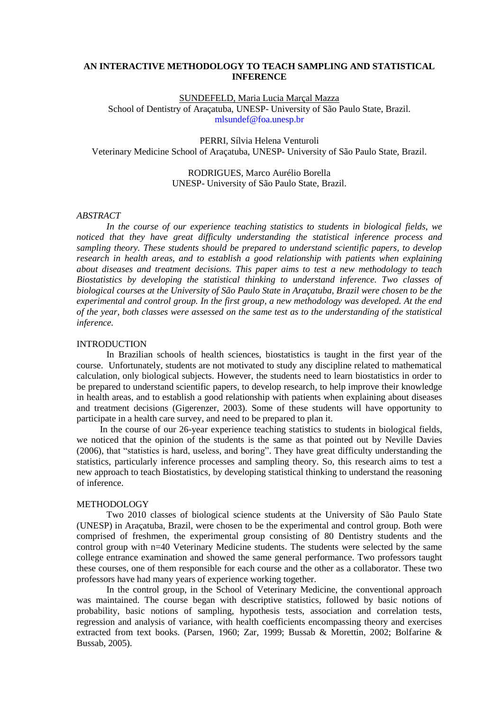#### **AN INTERACTIVE METHODOLOGY TO TEACH SAMPLING AND STATISTICAL INFERENCE**

SUNDEFELD, Maria Lucia Marçal Mazza

School of Dentistry of Araçatuba, UNESP- University of São Paulo State, Brazil. [mlsundef@foa.unesp.br](mailto:mlsundef@foa.unesp.br)

PERRI, Sílvia Helena Venturoli Veterinary Medicine School of Araçatuba, UNESP- University of São Paulo State, Brazil.

> RODRIGUES, Marco Aurélio Borella UNESP- University of São Paulo State, Brazil.

#### *ABSTRACT*

*In the course of our experience teaching statistics to students in biological fields, we noticed that they have great difficulty understanding the statistical inference process and sampling theory. These students should be prepared to understand scientific papers, to develop research in health areas, and to establish a good relationship with patients when explaining about diseases and treatment decisions. This paper aims to test a new methodology to teach Biostatistics by developing the statistical thinking to understand inference. Two classes of biological courses at the University of São Paulo State in Araçatuba, Brazil were chosen to be the experimental and control group. In the first group, a new methodology was developed. At the end of the year, both classes were assessed on the same test as to the understanding of the statistical inference.* 

## **INTRODUCTION**

In Brazilian schools of health sciences, biostatistics is taught in the first year of the course. Unfortunately, students are not motivated to study any discipline related to mathematical calculation, only biological subjects. However, the students need to learn biostatistics in order to be prepared to understand scientific papers, to develop research, to help improve their knowledge in health areas, and to establish a good relationship with patients when explaining about diseases and treatment decisions (Gigerenzer, 2003). Some of these students will have opportunity to participate in a health care survey, and need to be prepared to plan it.

 In the course of our 26-year experience teaching statistics to students in biological fields, we noticed that the opinion of the students is the same as that pointed out by Neville Davies (2006), that "statistics is hard, useless, and boring". They have great difficulty understanding the statistics, particularly inference processes and sampling theory. So, this research aims to test a new approach to teach Biostatistics, by developing statistical thinking to understand the reasoning of inference.

# METHODOLOGY

Two 2010 classes of biological science students at the University of São Paulo State (UNESP) in Araçatuba, Brazil, were chosen to be the experimental and control group. Both were comprised of freshmen, the experimental group consisting of 80 Dentistry students and the control group with n=40 Veterinary Medicine students. The students were selected by the same college entrance examination and showed the same general performance. Two professors taught these courses, one of them responsible for each course and the other as a collaborator. These two professors have had many years of experience working together.

In the control group, in the School of Veterinary Medicine, the conventional approach was maintained. The course began with descriptive statistics, followed by basic notions of probability, basic notions of sampling, hypothesis tests, association and correlation tests, regression and analysis of variance, with health coefficients encompassing theory and exercises extracted from text books. (Parsen, 1960; Zar, 1999; Bussab & Morettin, 2002; Bolfarine & Bussab, 2005).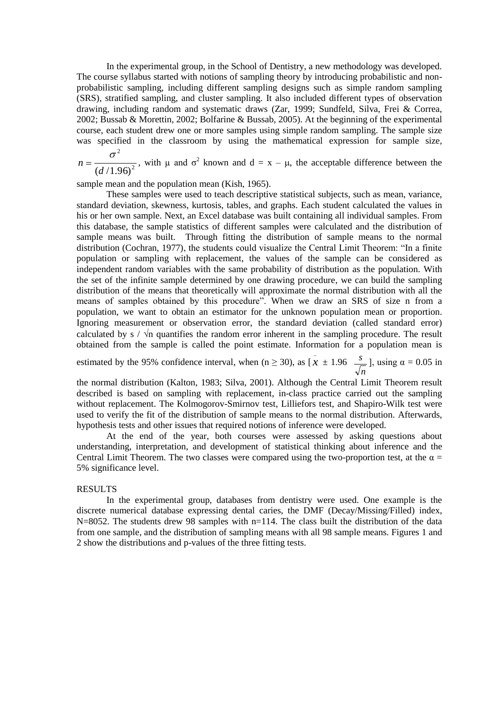In the experimental group, in the School of Dentistry, a new methodology was developed. The course syllabus started with notions of sampling theory by introducing probabilistic and nonprobabilistic sampling, including different sampling designs such as simple random sampling (SRS), stratified sampling, and cluster sampling. It also included different types of observation drawing, including random and systematic draws (Zar, 1999; Sundfeld, Silva, Frei & Correa, 2002; Bussab & Morettin, 2002; Bolfarine & Bussab, 2005). At the beginning of the experimental course, each student drew one or more samples using simple random sampling. The sample size was specified in the classroom by using the mathematical expression for sample size, 2

2 (*d* /1.96)  $n = \frac{\sigma^2}{\sqrt{(\sigma^2 + \sigma^2)}}$ , with  $\mu$  and  $\sigma^2$  known and  $d = x - \mu$ , the acceptable difference between the

sample mean and the population mean (Kish, 1965).

These samples were used to teach descriptive statistical subjects, such as mean, variance, standard deviation, skewness, kurtosis, tables, and graphs. Each student calculated the values in his or her own sample. Next, an Excel database was built containing all individual samples. From this database, the sample statistics of different samples were calculated and the distribution of sample means was built. Through fitting the distribution of sample means to the normal distribution (Cochran, 1977), the students could visualize the Central Limit Theorem: "In a finite population or sampling with replacement, the values of the sample can be considered as independent random variables with the same probability of distribution as the population. With the set of the infinite sample determined by one drawing procedure, we can build the sampling distribution of the means that theoretically will approximate the normal distribution with all the means of samples obtained by this procedure". When we draw an SRS of size n from a population, we want to obtain an estimator for the unknown population mean or proportion. Ignoring measurement or observation error, the standard deviation (called standard error) calculated by s  $\prime$   $\sqrt{n}$  quantifies the random error inherent in the sampling procedure. The result obtained from the sample is called the point estimate. Information for a population mean is

estimated by the 95% confidence interval, when  $(n \ge 30)$ , as  $\overline{x} \pm 1.96$ *n*  $\frac{s}{\sqrt{n}}$ ], using  $\alpha = 0.05$  in

the normal distribution (Kalton, 1983; Silva, 2001). Although the Central Limit Theorem result described is based on sampling with replacement, in-class practice carried out the sampling without replacement. The Kolmogorov-Smirnov test, Lilliefors test, and Shapiro-Wilk test were used to verify the fit of the distribution of sample means to the normal distribution. Afterwards, hypothesis tests and other issues that required notions of inference were developed.

At the end of the year, both courses were assessed by asking questions about understanding, interpretation, and development of statistical thinking about inference and the Central Limit Theorem. The two classes were compared using the two-proportion test, at the  $\alpha =$ 5% significance level.

### RESULTS

In the experimental group, databases from dentistry were used. One example is the discrete numerical database expressing dental caries, the DMF (Decay/Missing/Filled) index, N=8052. The students drew 98 samples with n=114. The class built the distribution of the data from one sample, and the distribution of sampling means with all 98 sample means. Figures 1 and 2 show the distributions and p-values of the three fitting tests.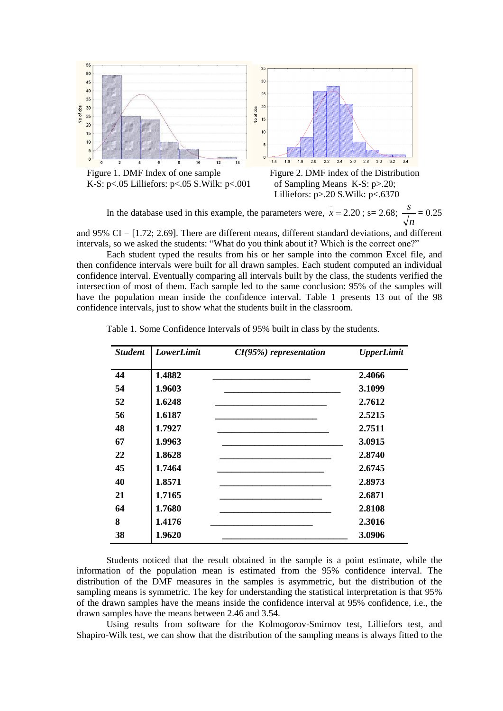

K-S:  $p<.05$  Lilliefors:  $p<.05$  S. Wilk:  $p<.001$  of Sampling Means K-S:  $p>.20$ ;

Lilliefors: p>.20 S.Wilk: p<.6370

In the database used in this example, the parameters were,  $\bar{x} = 2.20$ ; s= 2.68; *n*  $\frac{s}{\sqrt{ }} = 0.25$ 

and 95%  $CI = [1.72; 2.69]$ . There are different means, different standard deviations, and different intervals, so we asked the students: "What do you think about it? Which is the correct one?"

Each student typed the results from his or her sample into the common Excel file, and then confidence intervals were built for all drawn samples. Each student computed an individual confidence interval. Eventually comparing all intervals built by the class, the students verified the intersection of most of them. Each sample led to the same conclusion: 95% of the samples will have the population mean inside the confidence interval. Table 1 presents 13 out of the 98 confidence intervals, just to show what the students built in the classroom.

| <b>Student</b> | LowerLimit | $CI(95%)$ representation | <b>UpperLimit</b> |
|----------------|------------|--------------------------|-------------------|
| 44             | 1.4882     |                          | 2.4066            |
| 54             | 1.9603     |                          | 3.1099            |
| 52             | 1.6248     |                          | 2.7612            |
| 56             | 1.6187     |                          | 2.5215            |
| 48             | 1.7927     |                          | 2.7511            |
| 67             | 1.9963     |                          | 3.0915            |
| 22             | 1.8628     |                          | 2.8740            |
| 45             | 1.7464     |                          | 2.6745            |
| 40             | 1.8571     |                          | 2.8973            |
| 21             | 1.7165     |                          | 2.6871            |
| 64             | 1.7680     |                          | 2.8108            |
| 8              | 1.4176     |                          | 2.3016            |
| 38             | 1.9620     |                          | 3.0906            |

Table 1. Some Confidence Intervals of 95% built in class by the students.

Students noticed that the result obtained in the sample is a point estimate, while the information of the population mean is estimated from the 95% confidence interval. The distribution of the DMF measures in the samples is asymmetric, but the distribution of the sampling means is symmetric. The key for understanding the statistical interpretation is that 95% of the drawn samples have the means inside the confidence interval at 95% confidence, i.e., the drawn samples have the means between 2.46 and 3.54.

Using results from software for the Kolmogorov-Smirnov test, Lilliefors test, and Shapiro-Wilk test, we can show that the distribution of the sampling means is always fitted to the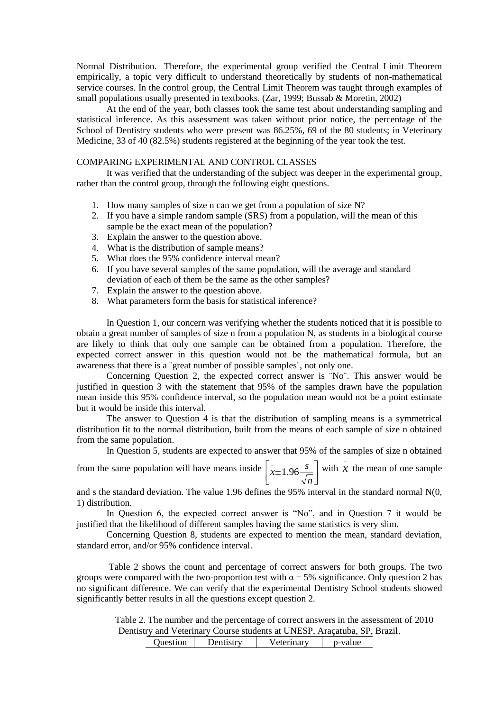Normal Distribution. Therefore, the experimental group verified the Central Limit Theorem empirically, a topic very difficult to understand theoretically by students of non-mathematical service courses. In the control group, the Central Limit Theorem was taught through examples of small populations usually presented in textbooks. (Zar, 1999; Bussab & Moretin, 2002)

At the end of the year, both classes took the same test about understanding sampling and statistical inference. As this assessment was taken without prior notice, the percentage of the School of Dentistry students who were present was 86.25%, 69 of the 80 students; in Veterinary Medicine, 33 of 40 (82.5%) students registered at the beginning of the year took the test.

## COMPARING EXPERIMENTAL AND CONTROL CLASSES

It was verified that the understanding of the subject was deeper in the experimental group, rather than the control group, through the following eight questions.

- 1. How many samples of size n can we get from a population of size N?
- 2. If you have a simple random sample (SRS) from a population, will the mean of this sample be the exact mean of the population?
- 3. Explain the answer to the question above.
- 4. What is the distribution of sample means?
- 5. What does the 95% confidence interval mean?
- 6. If you have several samples of the same population, will the average and standard deviation of each of them be the same as the other samples?
- 7. Explain the answer to the question above.
- 8. What parameters form the basis for statistical inference?

In Question 1, our concern was verifying whether the students noticed that it is possible to obtain a great number of samples of size n from a population N, as students in a biological course are likely to think that only one sample can be obtained from a population. Therefore, the expected correct answer in this question would not be the mathematical formula, but an awareness that there is a ¨great number of possible samples¨, not only one.

Concerning Question 2, the expected correct answer is ¨No¨. This answer would be justified in question 3 with the statement that 95% of the samples drawn have the population mean inside this 95% confidence interval, so the population mean would not be a point estimate but it would be inside this interval.

The answer to Question 4 is that the distribution of sampling means is a symmetrical distribution fit to the normal distribution, built from the means of each sample of size n obtained from the same population.

In Question 5, students are expected to answer that 95% of the samples of size n obtained

from the same population will have means inside  $\rfloor$  $\overline{\phantom{a}}$ ſ.  $\frac{1}{x}$ *n*  $\left[x \pm 1.96 \frac{s}{\sqrt{2}}\right]$  with  $\overline{x}$  the mean of one sample

and s the standard deviation. The value 1.96 defines the 95% interval in the standard normal N(0, 1) distribution.

In Question 6, the expected correct answer is "No", and in Question 7 it would be justified that the likelihood of different samples having the same statistics is very slim.

Concerning Question 8, students are expected to mention the mean, standard deviation, standard error, and/or 95% confidence interval.

Table 2 shows the count and percentage of correct answers for both groups. The two groups were compared with the two-proportion test with  $\alpha = 5\%$  significance. Only question 2 has no significant difference. We can verify that the experimental Dentistry School students showed significantly better results in all the questions except question 2.

Table 2. The number and the percentage of correct answers in the assessment of 2010 Dentistry and Veterinary Course students at UNESP, Araçatuba, SP, Brazil.

| Ouestion<br>Dentistry | Veterinary | p-value |
|-----------------------|------------|---------|
|-----------------------|------------|---------|